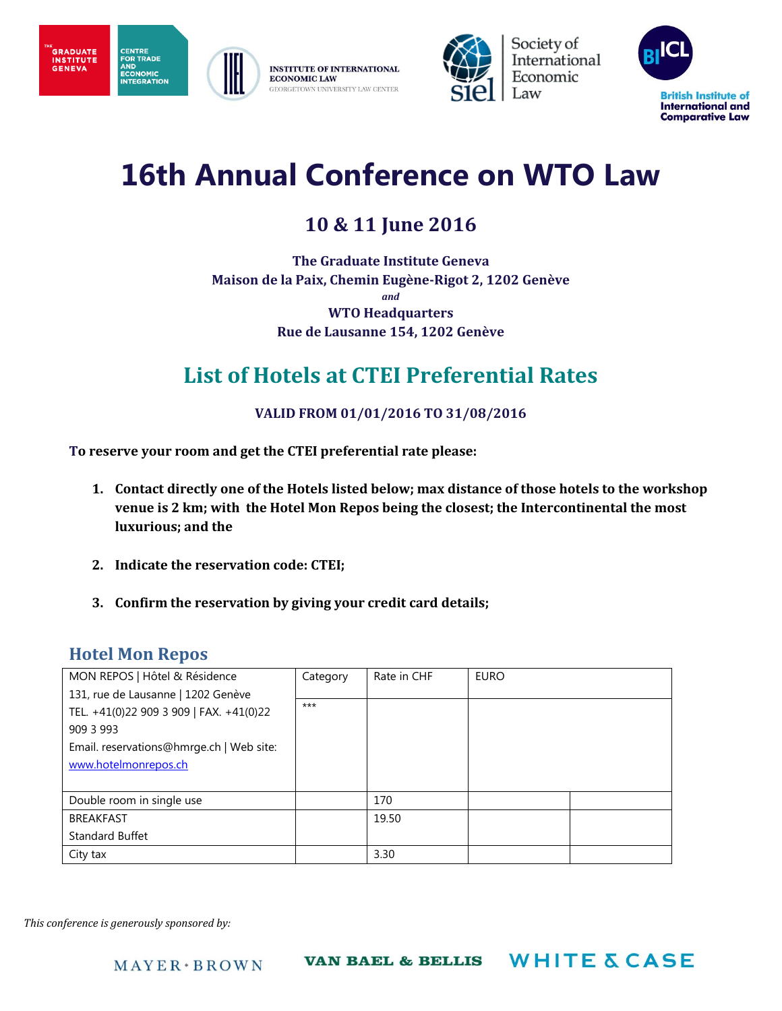





Society of International Economic Law



# **16th Annual Conference on WTO Law**

## **10 & 11 June 2016**

**The Graduate Institute Geneva Maison de la Paix, Chemin Eugène-Rigot 2, 1202 Genève** *and* **WTO Headquarters Rue de Lausanne 154, 1202 Genève**

## **List of Hotels at CTEI Preferential Rates**

#### **VALID FROM 01/01/2016 TO 31/08/2016**

**To reserve your room and get the CTEI preferential rate please:**

- **1. Contact directly one of the Hotels listed below; max distance of those hotels to the workshop venue is 2 km; with the Hotel Mon Repos being the closest; the Intercontinental the most luxurious; and the**
- **2. Indicate the reservation code: CTEI;**
- **3. Confirm the reservation by giving your credit card details;**

### **Hotel Mon Repos**

| MON REPOS   Hôtel & Résidence                                                                                                                                  | Category | Rate in CHF | <b>EURO</b> |  |
|----------------------------------------------------------------------------------------------------------------------------------------------------------------|----------|-------------|-------------|--|
| 131, rue de Lausanne   1202 Genève<br>TEL. +41(0)22 909 3 909   FAX. +41(0)22<br>909 3 993<br>Email. reservations@hmrge.ch   Web site:<br>www.hotelmonrepos.ch | $***$    |             |             |  |
| Double room in single use                                                                                                                                      |          | 170         |             |  |
| <b>BREAKFAST</b>                                                                                                                                               |          | 19.50       |             |  |
| Standard Buffet                                                                                                                                                |          |             |             |  |
| City tax                                                                                                                                                       |          | 3.30        |             |  |

*This conference is generously sponsored by:*

**WHITE & CASE VAN BAEL & BELLIS**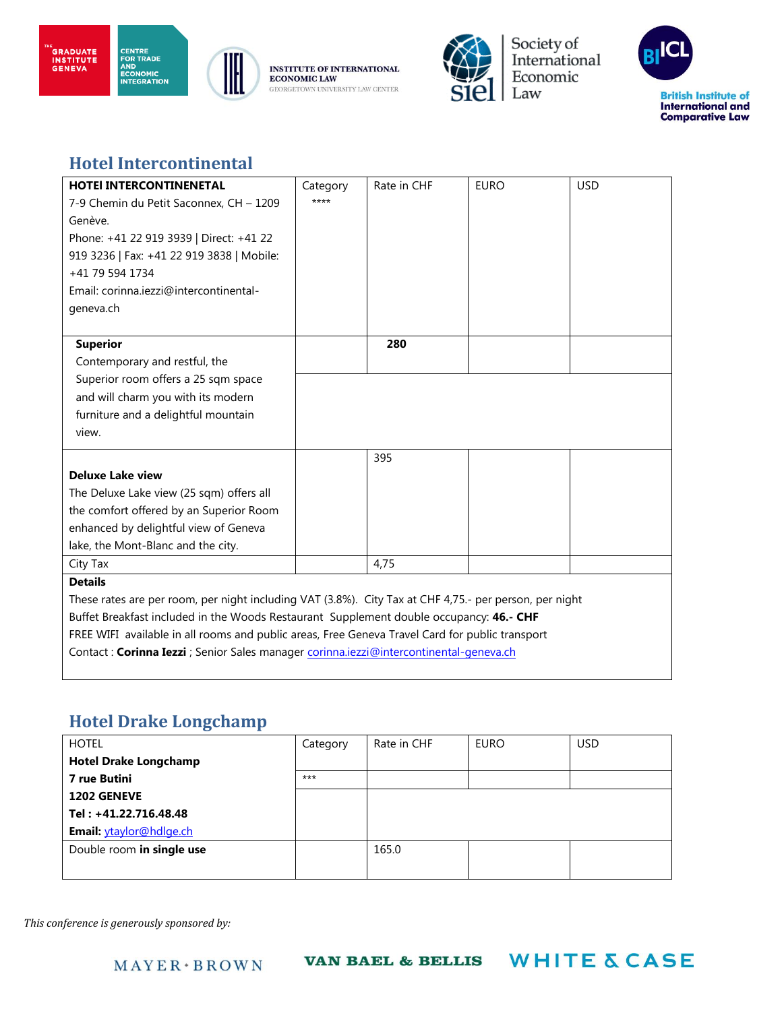



**INSTITUTE OF INTERNATIONAL ECONOMIC LAW** GEORGETOWN UNIVERSITY LAW CENTER



Society of<br>International Economic Law

**WHITE & CASE** 



### **Hotel Intercontinental**

**CENTRE<br>FOR TRADE<br>AND<br>ECONOMIC<br>INTEGRATION** 

| <b>HOTEI INTERCONTINENETAL</b>                                                                         | Category | Rate in CHF | <b>EURO</b> | <b>USD</b> |
|--------------------------------------------------------------------------------------------------------|----------|-------------|-------------|------------|
| 7-9 Chemin du Petit Saconnex, CH - 1209                                                                | ****     |             |             |            |
| Genève.                                                                                                |          |             |             |            |
| Phone: +41 22 919 3939   Direct: +41 22                                                                |          |             |             |            |
| 919 3236   Fax: +41 22 919 3838   Mobile:                                                              |          |             |             |            |
| +41 79 594 1734                                                                                        |          |             |             |            |
| Email: corinna.jezzi@intercontinental-                                                                 |          |             |             |            |
| geneva.ch                                                                                              |          |             |             |            |
|                                                                                                        |          |             |             |            |
| <b>Superior</b>                                                                                        |          | 280         |             |            |
| Contemporary and restful, the                                                                          |          |             |             |            |
| Superior room offers a 25 sqm space                                                                    |          |             |             |            |
| and will charm you with its modern                                                                     |          |             |             |            |
| furniture and a delightful mountain                                                                    |          |             |             |            |
| view.                                                                                                  |          |             |             |            |
|                                                                                                        |          | 395         |             |            |
| <b>Deluxe Lake view</b>                                                                                |          |             |             |            |
| The Deluxe Lake view (25 sqm) offers all                                                               |          |             |             |            |
| the comfort offered by an Superior Room                                                                |          |             |             |            |
| enhanced by delightful view of Geneva                                                                  |          |             |             |            |
| lake, the Mont-Blanc and the city.                                                                     |          |             |             |            |
| City Tax                                                                                               |          | 4.75        |             |            |
| <b>Details</b>                                                                                         |          |             |             |            |
| These rates are per room, per night including VAT (3.8%). City Tax at CHF 4,75.- per person, per night |          |             |             |            |
| Buffet Breakfast included in the Woods Restaurant Supplement double occupancy: 46.- CHF                |          |             |             |            |
| FREE WIFI available in all rooms and public areas, Free Geneva Travel Card for public transport        |          |             |             |            |
| Contact: Corinna Iezzi ; Senior Sales manager corinna.iezzi@intercontinental-geneva.ch                 |          |             |             |            |
|                                                                                                        |          |             |             |            |

### **Hotel Drake Longchamp**

| <b>HOTEL</b>                 | Category | Rate in CHF | <b>EURO</b> | <b>USD</b> |
|------------------------------|----------|-------------|-------------|------------|
| <b>Hotel Drake Longchamp</b> |          |             |             |            |
| 7 rue Butini                 | $***$    |             |             |            |
| <b>1202 GENEVE</b>           |          |             |             |            |
| Tel: +41.22.716.48.48        |          |             |             |            |
| Email: ytaylor@hdlge.ch      |          |             |             |            |
| Double room in single use    |          | 165.0       |             |            |
|                              |          |             |             |            |

**VAN BAEL & BELLIS** 

*This conference is generously sponsored by:*

 $MAYER+BROWN$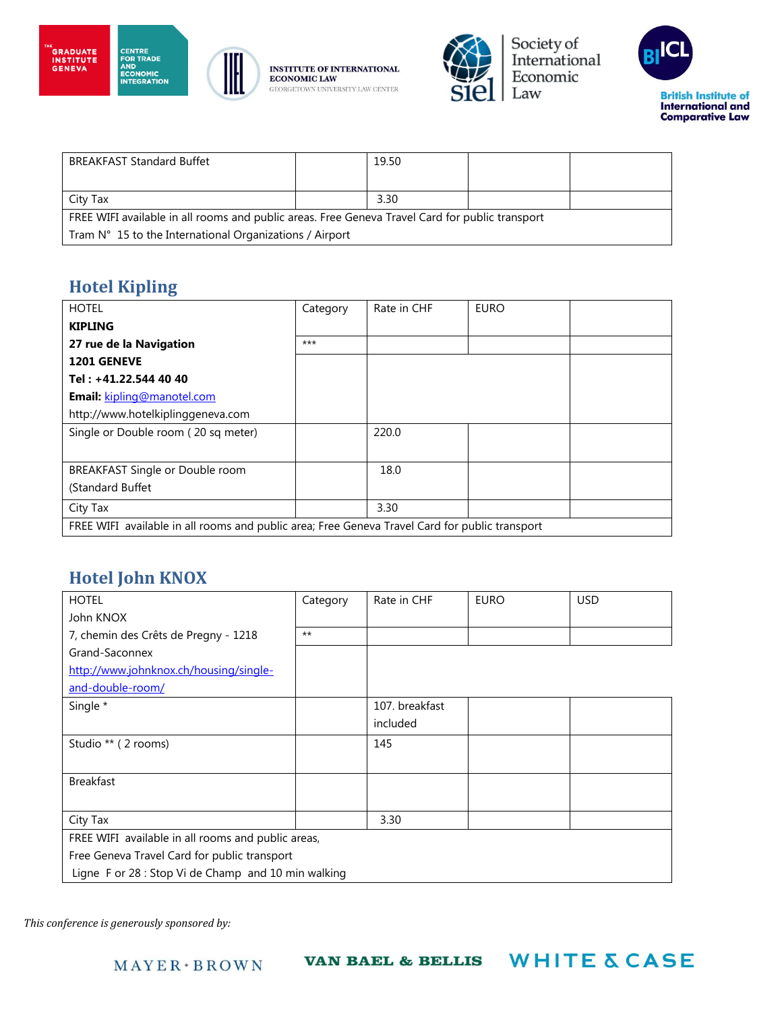



**CENTRE<br>FOR TRADE<br>AND<br>ECONOMIC<br>INTEGRATION** 

**INSTITUTE OF INTERNATIONAL ECONOMIC LAW** GEORGETOWN UNIVERSITY LAW CENTER



Society of<br>International Economic Law



| <b>BREAKFAST Standard Buffet</b>                                                                |  | 19.50 |  |  |
|-------------------------------------------------------------------------------------------------|--|-------|--|--|
|                                                                                                 |  |       |  |  |
| City Tax                                                                                        |  | 3.30  |  |  |
| FREE WIFI available in all rooms and public areas. Free Geneva Travel Card for public transport |  |       |  |  |
| Tram N° 15 to the International Organizations / Airport                                         |  |       |  |  |

## **Hotel Kipling**

| <b>HOTEL</b>                                                                                   | Category | Rate in CHF | <b>EURO</b> |  |
|------------------------------------------------------------------------------------------------|----------|-------------|-------------|--|
| <b>KIPLING</b>                                                                                 |          |             |             |  |
| 27 rue de la Navigation                                                                        | $***$    |             |             |  |
| 1201 GENEVE                                                                                    |          |             |             |  |
| Tel: +41.22.544 40 40                                                                          |          |             |             |  |
| Email: kipling@manotel.com                                                                     |          |             |             |  |
| http://www.hotelkiplinggeneva.com                                                              |          |             |             |  |
| Single or Double room (20 sq meter)                                                            |          | 220.0       |             |  |
|                                                                                                |          |             |             |  |
| BREAKFAST Single or Double room                                                                |          | 18.0        |             |  |
| (Standard Buffet                                                                               |          |             |             |  |
| City Tax                                                                                       |          | 3.30        |             |  |
| FREE WIFI available in all rooms and public area; Free Geneva Travel Card for public transport |          |             |             |  |

## **Hotel John KNOX**

| <b>HOTEL</b>                                        | Category | Rate in CHF    | <b>EURO</b> | <b>USD</b> |
|-----------------------------------------------------|----------|----------------|-------------|------------|
| John KNOX                                           |          |                |             |            |
| 7, chemin des Crêts de Pregny - 1218                | $***$    |                |             |            |
| Grand-Saconnex                                      |          |                |             |            |
| http://www.johnknox.ch/housing/single-              |          |                |             |            |
| and-double-room/                                    |          |                |             |            |
| Single *                                            |          | 107. breakfast |             |            |
|                                                     |          | included       |             |            |
| Studio ** (2 rooms)                                 |          | 145            |             |            |
|                                                     |          |                |             |            |
| <b>Breakfast</b>                                    |          |                |             |            |
|                                                     |          |                |             |            |
| City Tax                                            |          | 3.30           |             |            |
| FREE WIFI available in all rooms and public areas,  |          |                |             |            |
| Free Geneva Travel Card for public transport        |          |                |             |            |
| Ligne F or 28 : Stop Vi de Champ and 10 min walking |          |                |             |            |

*This conference is generously sponsored by:*

 $MAYER*BROWN$ 

**VAN BAEL & BELLIS** 

**WHITE & CASE**